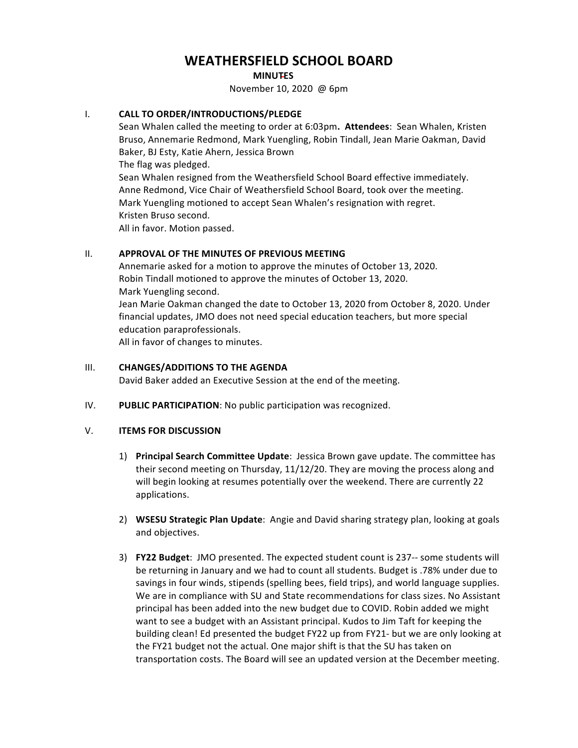# **WEATHERSFIELD SCHOOL BOARD**

#### **MINUTES**

November 10, 2020 @ 6pm

# **I. CALL TO ORDER/INTRODUCTIONS/PLEDGE**

Sean Whalen called the meeting to order at 6:03pm. Attendees: Sean Whalen, Kristen Bruso, Annemarie Redmond, Mark Yuengling, Robin Tindall, Jean Marie Oakman, David Baker, BJ Esty, Katie Ahern, Jessica Brown

The flag was pledged.

Sean Whalen resigned from the Weathersfield School Board effective immediately. Anne Redmond, Vice Chair of Weathersfield School Board, took over the meeting. Mark Yuengling motioned to accept Sean Whalen's resignation with regret. Kristen Bruso second. 

All in favor. Motion passed.

# **II. APPROVAL OF THE MINUTES OF PREVIOUS MEETING**

Annemarie asked for a motion to approve the minutes of October 13, 2020. Robin Tindall motioned to approve the minutes of October 13, 2020. Mark Yuengling second. Jean Marie Oakman changed the date to October 13, 2020 from October 8, 2020. Under financial updates, JMO does not need special education teachers, but more special education paraprofessionals. All in favor of changes to minutes.

## **III.** CHANGES/ADDITIONS TO THE AGENDA

David Baker added an Executive Session at the end of the meeting.

IV. PUBLIC PARTICIPATION: No public participation was recognized.

# V. **ITEMS FOR DISCUSSION**

- 1) **Principal Search Committee Update**: Jessica Brown gave update. The committee has their second meeting on Thursday,  $11/12/20$ . They are moving the process along and will begin looking at resumes potentially over the weekend. There are currently 22 applications.
- 2) **WSESU Strategic Plan Update**: Angie and David sharing strategy plan, looking at goals and objectives.
- 3) **FY22 Budget:** JMO presented. The expected student count is 237-- some students will be returning in January and we had to count all students. Budget is .78% under due to savings in four winds, stipends (spelling bees, field trips), and world language supplies. We are in compliance with SU and State recommendations for class sizes. No Assistant principal has been added into the new budget due to COVID. Robin added we might want to see a budget with an Assistant principal. Kudos to Jim Taft for keeping the building clean! Ed presented the budget FY22 up from FY21- but we are only looking at the FY21 budget not the actual. One major shift is that the SU has taken on transportation costs. The Board will see an updated version at the December meeting.